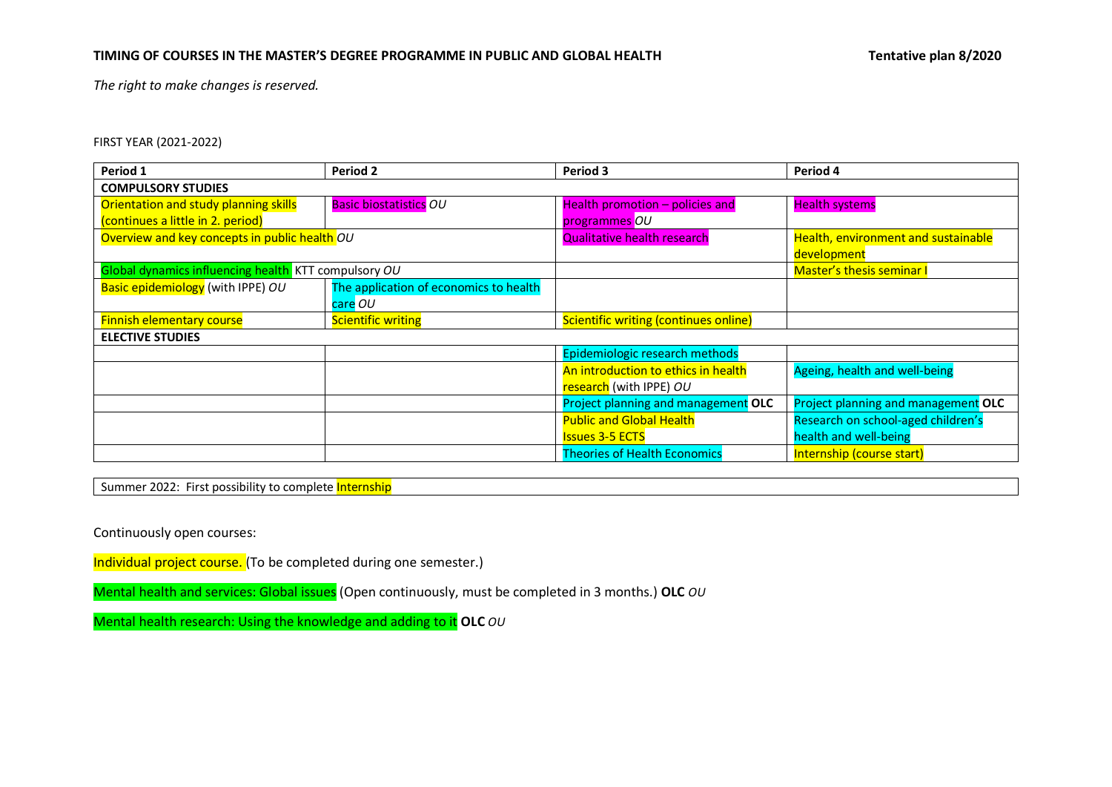*The right to make changes is reserved.*

FIRST YEAR (2021-2022)

| Period 1                                             | Period 2                               | Period 3                              | Period 4                                   |  |
|------------------------------------------------------|----------------------------------------|---------------------------------------|--------------------------------------------|--|
| <b>COMPULSORY STUDIES</b>                            |                                        |                                       |                                            |  |
| Orientation and study planning skills                | <b>Basic biostatistics OU</b>          | Health promotion - policies and       | <b>Health systems</b>                      |  |
| (continues a little in 2. period)                    |                                        | programmes OU                         |                                            |  |
| Overview and key concepts in public health OU        |                                        | <b>Qualitative health research</b>    | <b>Health, environment and sustainable</b> |  |
|                                                      |                                        |                                       | development                                |  |
| Global dynamics influencing health KTT compulsory OU |                                        |                                       | <b>Master's thesis seminar I</b>           |  |
| Basic epidemiology (with IPPE) OU                    | The application of economics to health |                                       |                                            |  |
|                                                      | care OU                                |                                       |                                            |  |
| <b>Finnish elementary course</b>                     | <b>Scientific writing</b>              | Scientific writing (continues online) |                                            |  |
| <b>ELECTIVE STUDIES</b>                              |                                        |                                       |                                            |  |
|                                                      |                                        | Epidemiologic research methods        |                                            |  |
|                                                      |                                        | An introduction to ethics in health   | Ageing, health and well-being              |  |
|                                                      |                                        | research (with IPPE) OU               |                                            |  |
|                                                      |                                        | Project planning and management OLC   | Project planning and management OLC        |  |
|                                                      |                                        | <b>Public and Global Health</b>       | Research on school-aged children's         |  |
|                                                      |                                        | <b>Issues 3-5 ECTS</b>                | health and well-being                      |  |
|                                                      |                                        | <b>Theories of Health Economics</b>   | Internship (course start)                  |  |

Summer 2022: First possibility to complete Internship

Continuously open courses:

Individual project course. (To be completed during one semester.)

Mental health and services: Global issues (Open continuously, must be completed in 3 months.) **OLC** *OU*

Mental health research: Using the knowledge and adding to it **OLC** *OU*